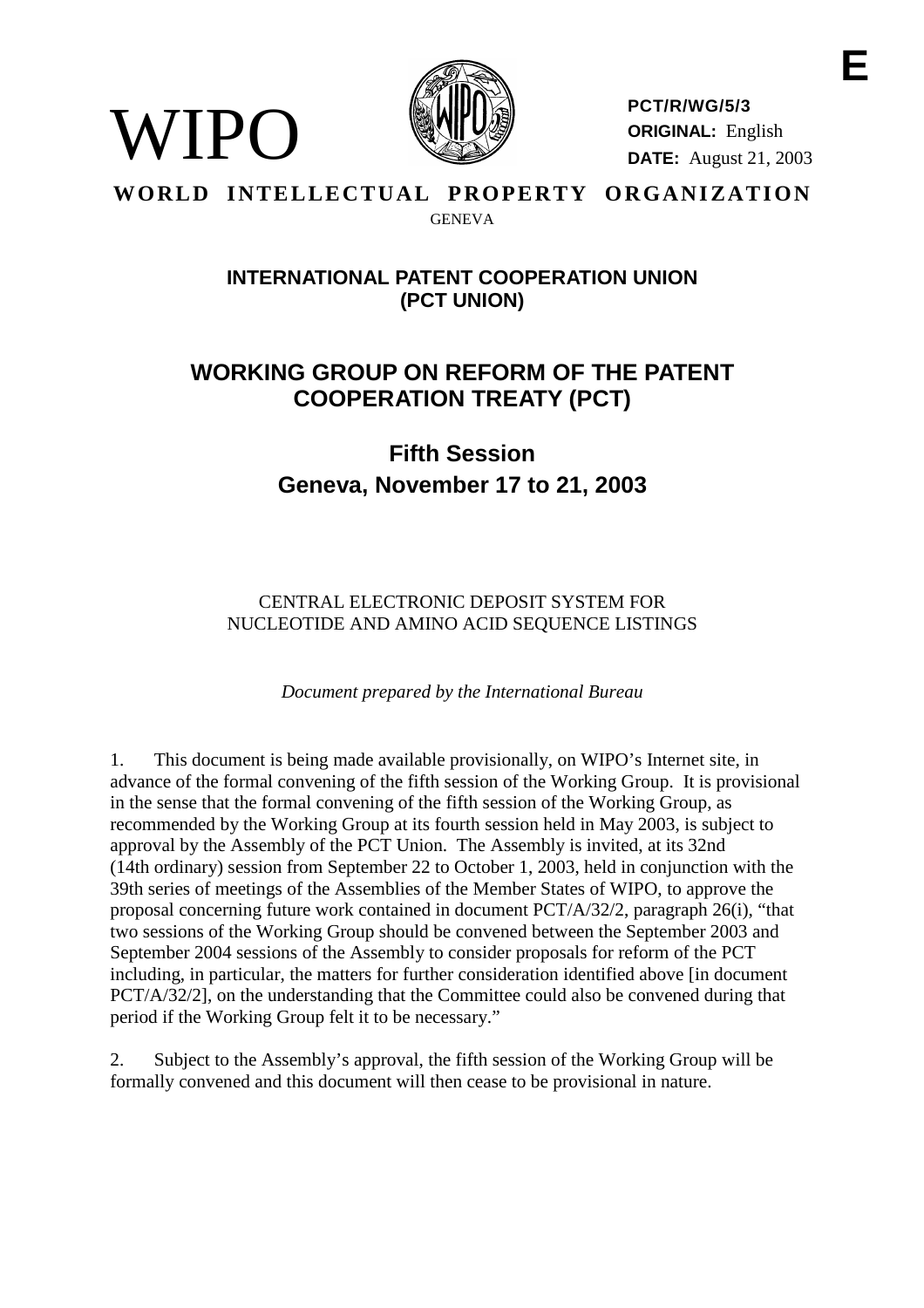

**PCT/R/WG/5/3 ORIGINAL:** English **DATE:** August 21, 2003

#### **WORLD INTELLECTUAL PROPERTY ORGANIZATION GENEVA**

WIPO

# **INTERNATIONALPATENT COOPERATIONUNION (PCT UNION)**

# **WORKING GROUP ON REF ORM OF THE PATENT COOPERATION TREATY ( PCT)**

# **Fifth Session Geneva, No vember 17 to 21, 2003**

CENTRAL ELECTRONIC DEPOSITSY STEMFOR NUCLEOTIDE AND AMINO ACIDSEQUENCELISTINGS

*Document prepared by the International Bureau*

1. This document is being made available provisionally, on WIPO's Internet site, i n advance of the formal convening of the fifth session of the Working Group. It is provisional in the sense that the formal convening of the fifth session of the Working Group, as recommended by the Working Group at its fourth session held in May 2003, is subject to approval by the Assembly of the PCT Union. The Assembly is invited, at its 32nd (14th ordinary) session from September 22 to October 1, 2003, held in conjunction with the 39th series of meetings of the Assemblies of the Member States of WIPO, to approve the proposal concerning future work contained indocument PCT/A/32/2, paragraph  $26(i)$ , "that two sessions of the Working Group should be convened between the September 2003 and September 2004 sessions of the Assembly to consider proposals for region form of the PCT including, in particular, the matters for further consideration identified above [indocument PCT/A/32/2], on the understanding that the Committee could also be convened during that periodif the Working Group felt it to be necessary."

2. Subject to the Assembly's approval, the fifth session of the Working Group will be formally convened and this document will then cease to be provisional innature.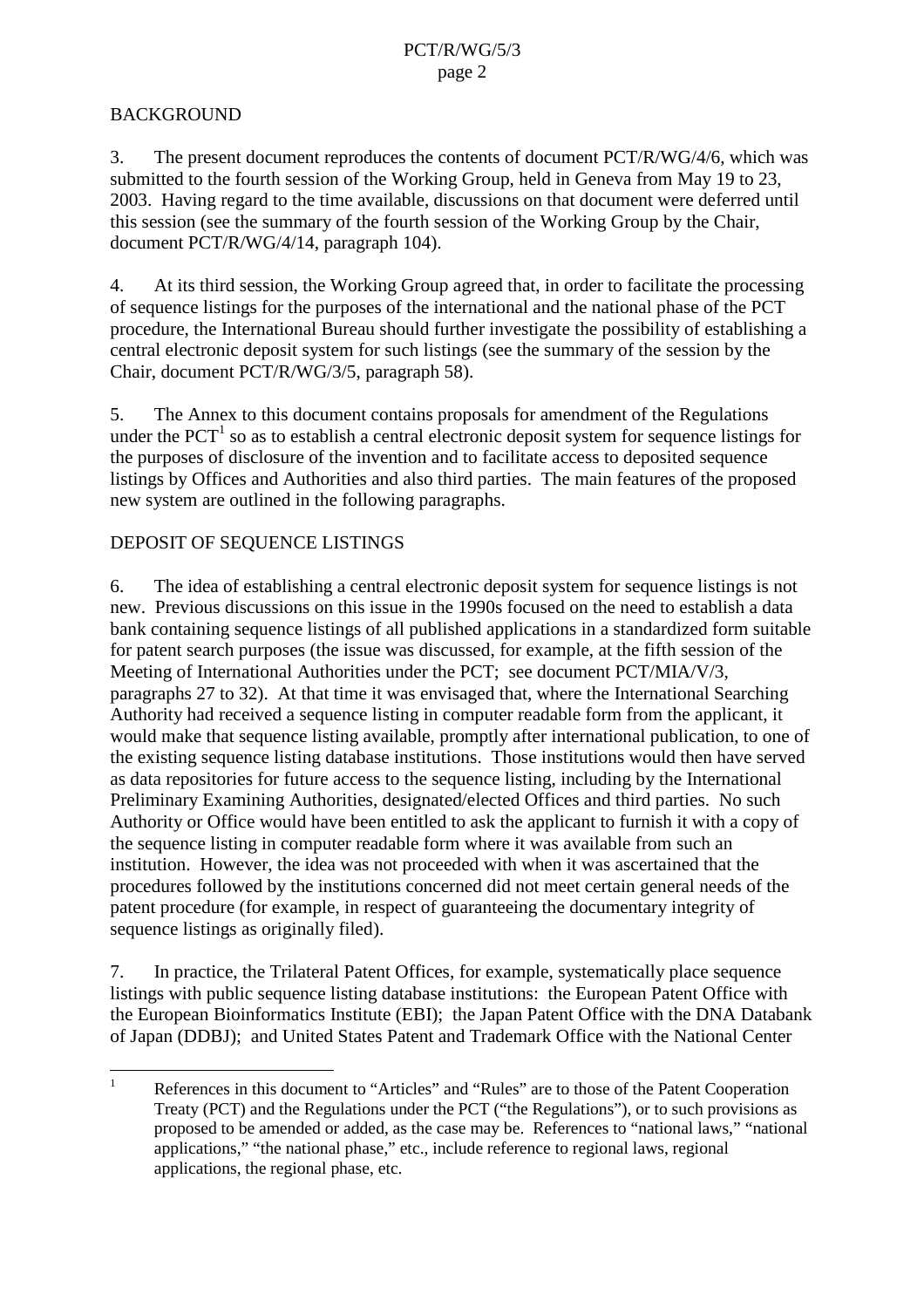### **BACKGROUND**

3. The present document reproduces the contents of document PCT/R/WG/4/6, which was submitted to the fourth session of the Working Group, held in Geneva from May 19 to 23, 2003. Having regard to the time available, discussions on that document were deferred until this session (see the s ummary of the fourth session of the Working Group by the Chair, document PCT/R/WG/4/14, paragraph 104).

4. At its third session, the Working Group agreed that, in order to facilitate the processing of sequence listings for the purp oses of the international and the national phase of the PCT procedure, the International Bureau should further investigate the possibility of establishing a central electronic deposits y stem for such listings (see the summary of the session by the Chair, d ocument PCT/R/WG/3/5, paragraph 58).

5. The Annex to this document contains proposals for amendment of the Regulations underthe PCT  $^{-1}$ so as to establish a central electronic deposits y stem for sequence listings for the purposes of disclosure of the invention and to facilitate access to deposited sequence listings by Offices and Authorities and also third parties. The main features of the proposed newsystemare outlined in the following paragraphs.

# DEPOSITOFSEQUENCELISTINGS

6. The idea of establishing a central electronic deposits y stem for sequence listing sisnot new. Previous discussions on this issue in the 1990s focused on the need to establish a data bank containing sequence listings of all publis hed applications in a standardized form suitable for patent search purposes (the issue was discussed, for example, at the fifth session of the Meeting of International Authorities under the PCT; seed ocument PCT/MIA/V/3, paragraphs 27 to 32). At that timearly eit was envisaged that, where the International Searching Authority had received a sequence listing in computer readable form from the applicant, it would make that sequence listing available, promptly after international publication, to one of the existi ng sequence listing database institutions. Those institutions would then have served as data repositories for future access to the sequence listing, including by the International Preliminary Examining Authorities, designated/elected Offices and third par ties. No such Authority or Office would have been entitled to ask the applicant to furnish it with a copy of the sequence listing in computer readable form where it was available from such an institution. However, the idea was not proceeded with when it was ascertained that the procedures followed by the institutions concerned did not meet certain general needs of the patent procedure (for example, in respect of guaranteeing the documentary integrity of sequence listings as originally filed).

7. In practice, the Trilateral Patent Offices, for example, systematically place sequence listings with public sequence listing database institutions: the European Patent Office with the European Bioinformatics Institute (EBI); the Japan Pat ent Office with the DNA Databank of Japan (DDBJ); and United States Patent and Trademark Office with the National Center

<sup>&</sup>lt;sup>1</sup> References in this document to "Articles" and "Rules" are to those of the Patent Cooperation Treaty (PCT) and the Regulations un der the PCT ("the Regulations"), or to such provisions as proposed to be amended or added, as the case may be. References to "national laws," "national applications," "the national phase," etc., include reference to regional laws, regional applications, the regional phase, etc.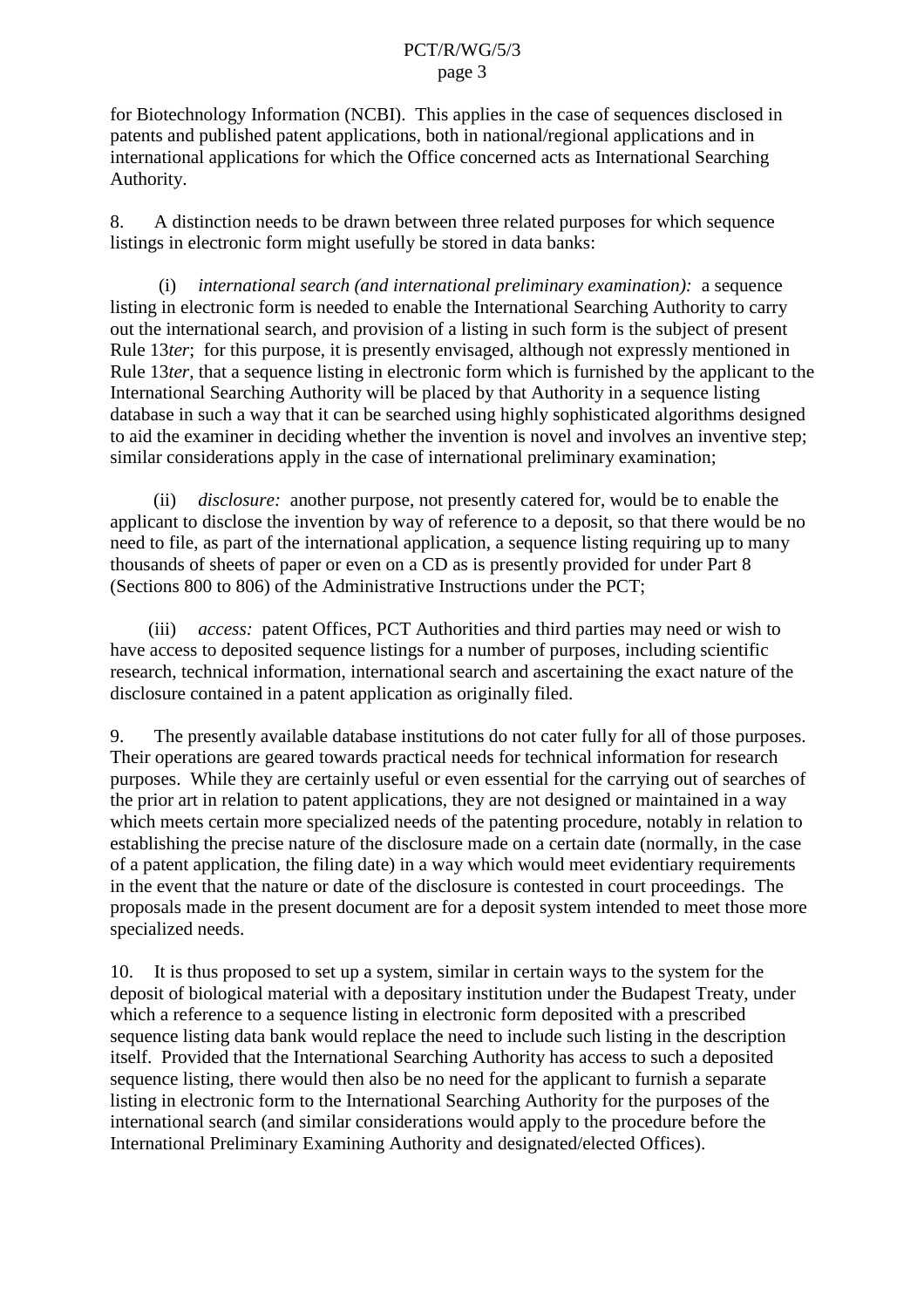<span id="page-2-0"></span>for Biotechnology Information (NCBI). This applies in the case of sequences disclosed in patents and published patent applications, b oth in national/regional applications and in international applications for which the Office concerned acts as International Searching Authority.

8. A distinction needs to be drawn between three related purposes for which sequence listingsinelectronic form might usefully be stored in data banks:

(i) *international search (and international preliminary examination):* a sequence listing inelectronic form is needed to enable the International Searching Author ity to carry out the international search, and provision of a listing in such form is the subject of present Rule 13*ter*; for this purpose, it is presently envisaged, although notex pressly mentioned in Rule 13 *ter*, that a sequence listing inelectronic for mwhich is furnished by the applicant to the International Searching Authority will be placed by that Authority in a sequence listing database in such a way that it can be searched using highly sophisticated algorithms designed to aid the examiner indecid ing whether the invention is novel and involves an inventive step: similar considerations apply in the case of international preliminary examination;

(ii) *disclosure:* another purpose, not presently catered for, would be to enable the applicant to disclose the invention by way of reference to a deposit, so that there would be no need to file, as part of the international application, a sequence listing requiring up to many thousands of sheets of paper or even on a CD as is presently provided for under Part 8 (Sections 800 to 806) of the Administrative Instructions under the PCT;

(iii) *access:* patent Offices, PCT Authorities and third parties may need or wish to have access to deposite dsequence listings for a number of purposes, including scientific research, technical information, international search and ascertaining the exact nature of the disclosure contained in a patent application as originally filed.

9. The presently available da tabase institutions do not cater fully for all of those purposes. Their operations are geared towards practical needs for technical information for research purposes. While they are certainly useful or even essential for the carrying out of searches of the prior art in relation to patent applications, they are not designed or maintained in a way which meets certain more specialized needs of the patenting procedure, notably in relation to establishing the precise nature of the disclosure made on a certain date (normally, in the case of a patent application, the filing date) in a way which would meet evidentiary requirements in the event that the nature ordate of the disclosure is contested in court proceedings. The proposals made in the present document a reformade propositive tem intended to meet those more specialized needs.

10. It is thus proposed to set up asystem, similar incertain ways to the system for the deposit of biological material with a depositary institution under the Budapest Treaty, under which are ference to a sequence listing in electronic form deposited with a prescribed sequence listing data bank would replace the need to include such listing in the description itself. Provided that the International Searching Au thority has access to such a deposited sequence listing, there would then also be no need for the applicant to furnish as eparate listing in electronic form to the International Searching Authority for the purposes of the international search (and similar considerations would apply to the procedure before the International Preliminary Examining Authority and designated/elected Offices).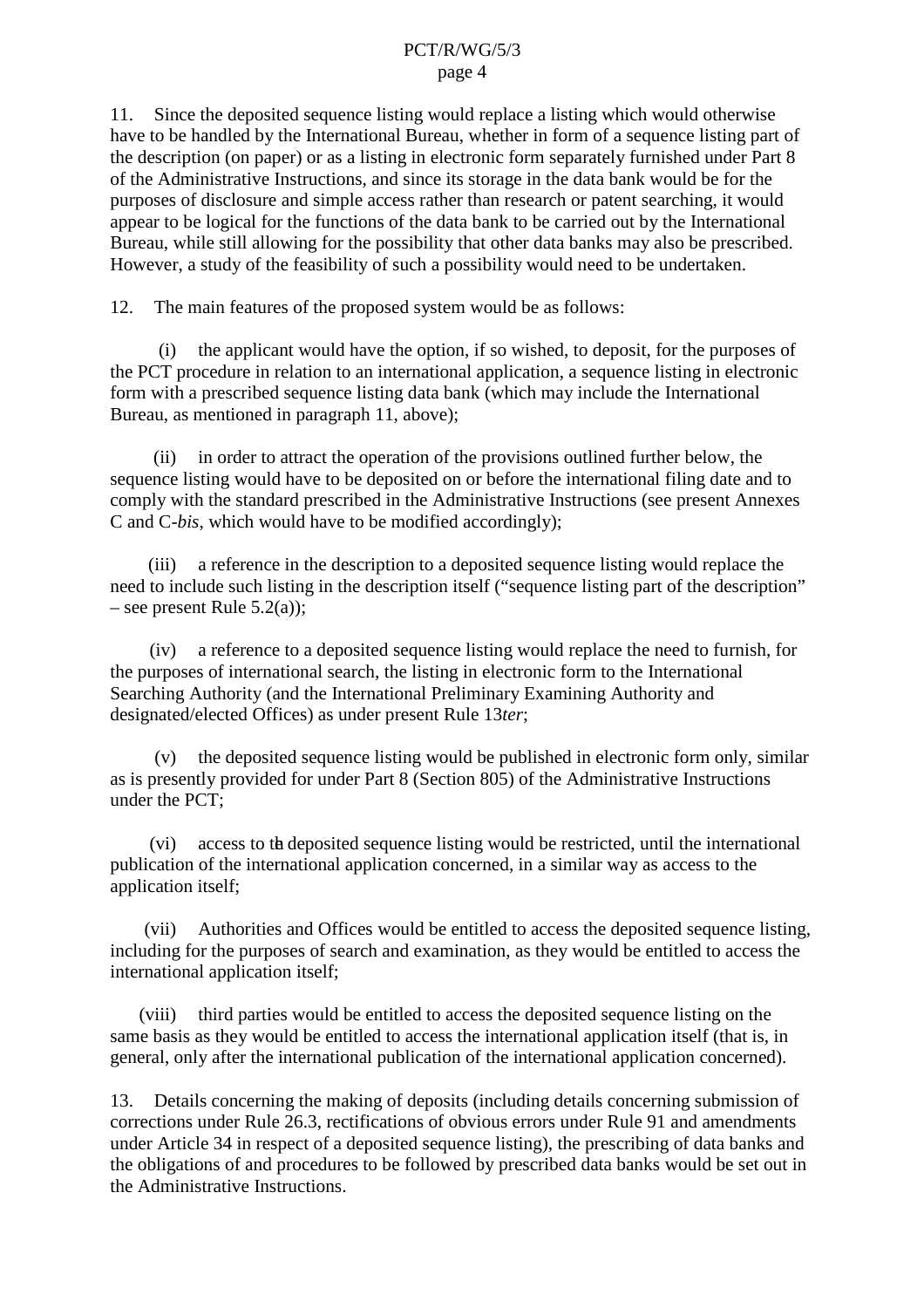#### PCT/R/WG/5/3 page 4

<span id="page-3-0"></span>11. Since the deposited sequence listing would replace a listing which would otherwise have to be handled by the International Bureau, whether inform of a sequence listing part of the description (on paper) or as a listing in electronic form separately furnished under Part 8 of the Administrative Instructions, and since its storage in the data bank wo uld be for the purposes of disclosure and simple access rather than research or patent searching, it would appeartobelogical for the functions of the data bank to be carried out by the International Bureau, while still allowing for the possibility that other data banks may also be prescribed. However, a study of the feasibility of such a possibility would need to be undertaken.

12. The main features of the proposeds ystem would be as follows:

(i) the appl icant would have the option, if so wished, to deposit, for the purposes of the PCT procedure in relation to an international application, a sequence listing in electronic form with a prescribed sequence listing data bank (which may include the Internationa l Bureau, as mentioned in paragraph 11, above);

(ii) in order to attract the operation of the provisions outlined further below, the sequence listing would have to be deposited on or befor ether international filing date and to comply with the standard prescribed in the Administrative Instructions (see present Annexes CandC -bis, which would have to be modified accordingly);

(iii) areference in the description to a deposited sequence listing would replace the need to include such listing in the description itself ("sequence listing part of the description"  $-$ seepresentRule 5.2(a));

(iv) areference to a deposited sequence listing would replac ethereed to furnish, for the purposes of international search, the listing inelectronic form to the International Searching Authority (and the International Preliminary Examining Authority and designated/electedOffices) as underpresent Rule 13*ter*;

 $(v)$  the deposited sequence listing would be published in electronic form only, similar asispresently provided for under Part 8 (Section 805) of the Administrative Instructions underthe PCT:

(vi) access to the deposited sequence listing would be restricted, until the international publication of the international application concerned, in a similar way as access to the applicationitself;

(vii) Authorities and Offices would be entitled to access the deposited sequence listing, including for the purposes of search and examination, as they would be entitled to access the international application itself;

(viii) third parties would be entitled to access the deposited sequence listing on the same basis as they would be entitled to access the international application itself (that is, in general, only after the international publication of the international application concerned).

13. Details concer ning the making of deposits (including details concerning submission of corrections under Rule 26.3, rectifications of obvious errors under Rule 91 and amendments under Article 34 in respect of a deposited sequence listing), the prescribing of data banks a nd the obligations of and procedures to be followed by prescribed data banks would be set out in the Administrative Instructions.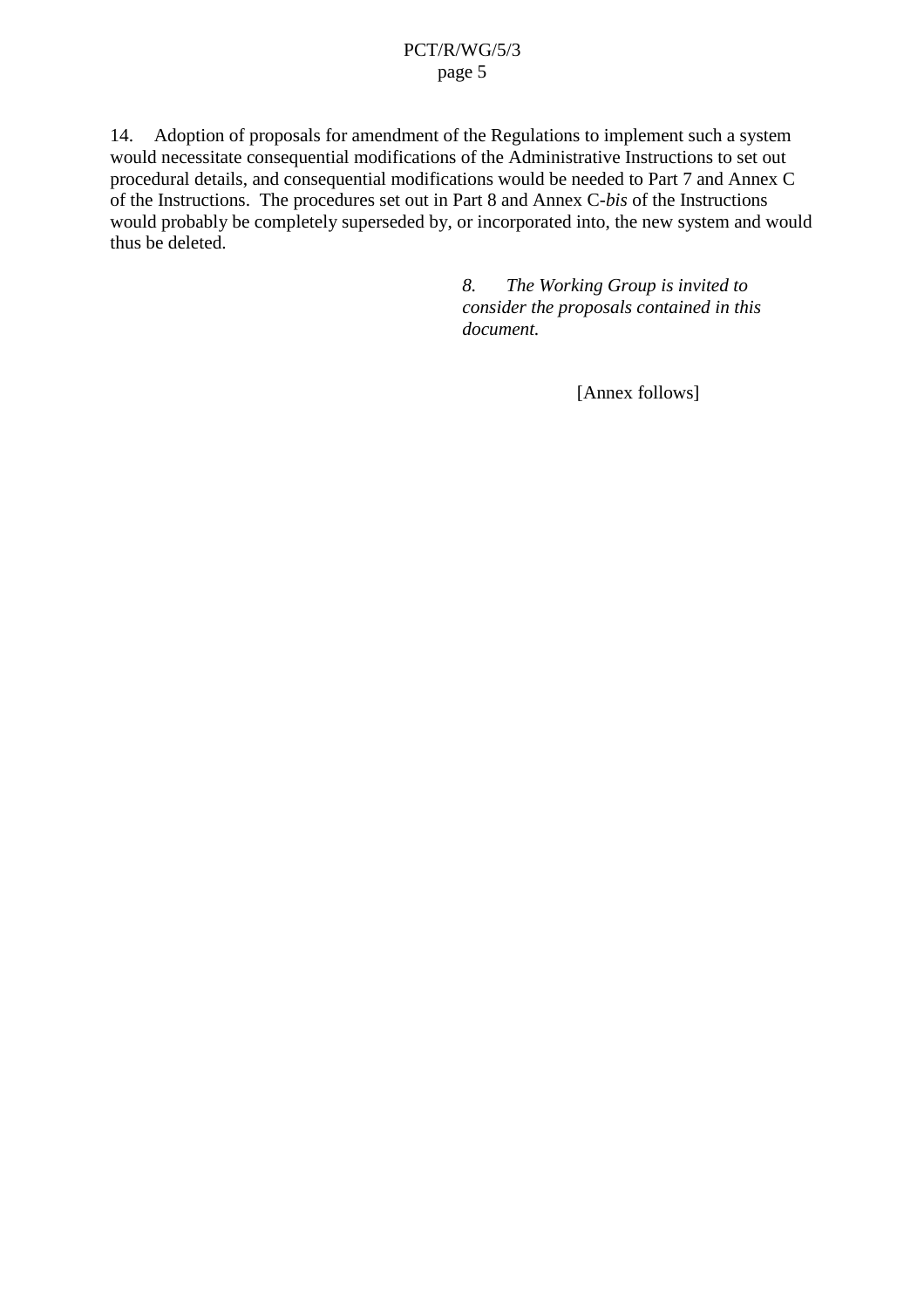#### PCT/R/WG/5/3 page 5

<span id="page-4-0"></span>14. Adoption of proposals for amendment of the Regulations to implement such asystem would necessitate consequential modifications of the Administrative Instructions to set out procedural details, and consequential modifications would be needed to Part 7 and Annex C of the Instructions. The procedures set out in Part 8 and Annex C -*bis* of the Instructions would probably be completely superseded by, or incorporated into, the new system and would thus bedeleted.

> *8. The Working Group is invited to consider the proposals contained in this document.*

> > [Annexfollows]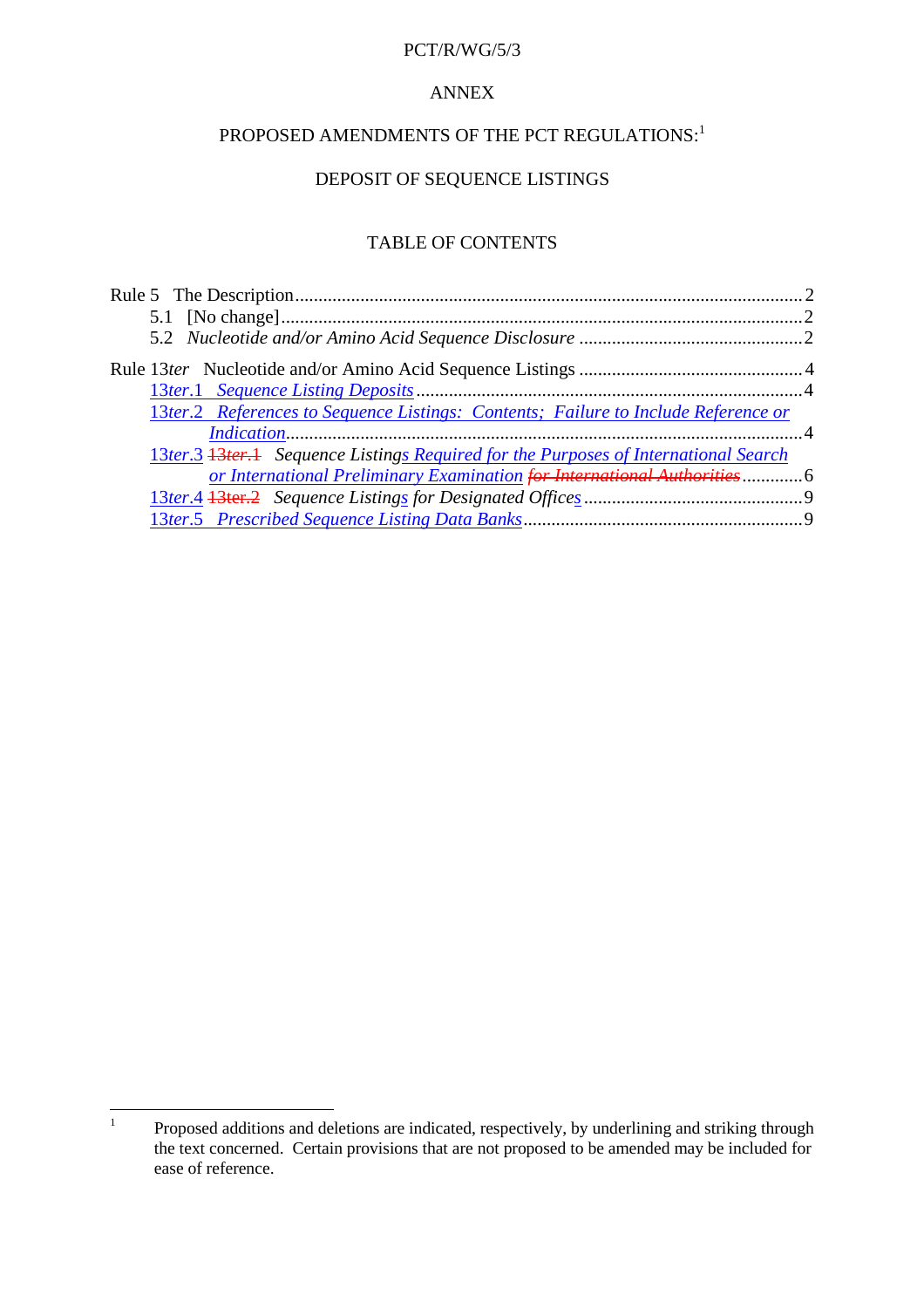#### PCT/R/WG/5/3

#### ANNEX

# $PROPOSEDAMENTS OF THE PCTREG$  ULATIONS:<sup>1</sup>

# DEPOSITOFSEQUENCE LISTINGS

#### **TABLEOFCONTENTS**

| Rule13 terNucleotideand/orAminoAcidSequenceListings manufactured areas and 4 |  |
|------------------------------------------------------------------------------|--|
|                                                                              |  |
| 13ter.2 ReferencestoSequenceListings:Content s;FailuretoIncludeReferenceor   |  |
|                                                                              |  |
| 13ter.3 13ter.1 SequenceListing sRequiredforthePurposesofInternationalSearch |  |
| orInternationalPreliminaryExamination forInternationalAuthorities -  6       |  |
|                                                                              |  |
|                                                                              |  |
|                                                                              |  |

<sup>&</sup>lt;sup>1</sup> Proposed additions and deletions are indicated, respectively, by underlining and striking through the text concerned. Certain provisions that are not proposed to be amended may be included for ease of reference.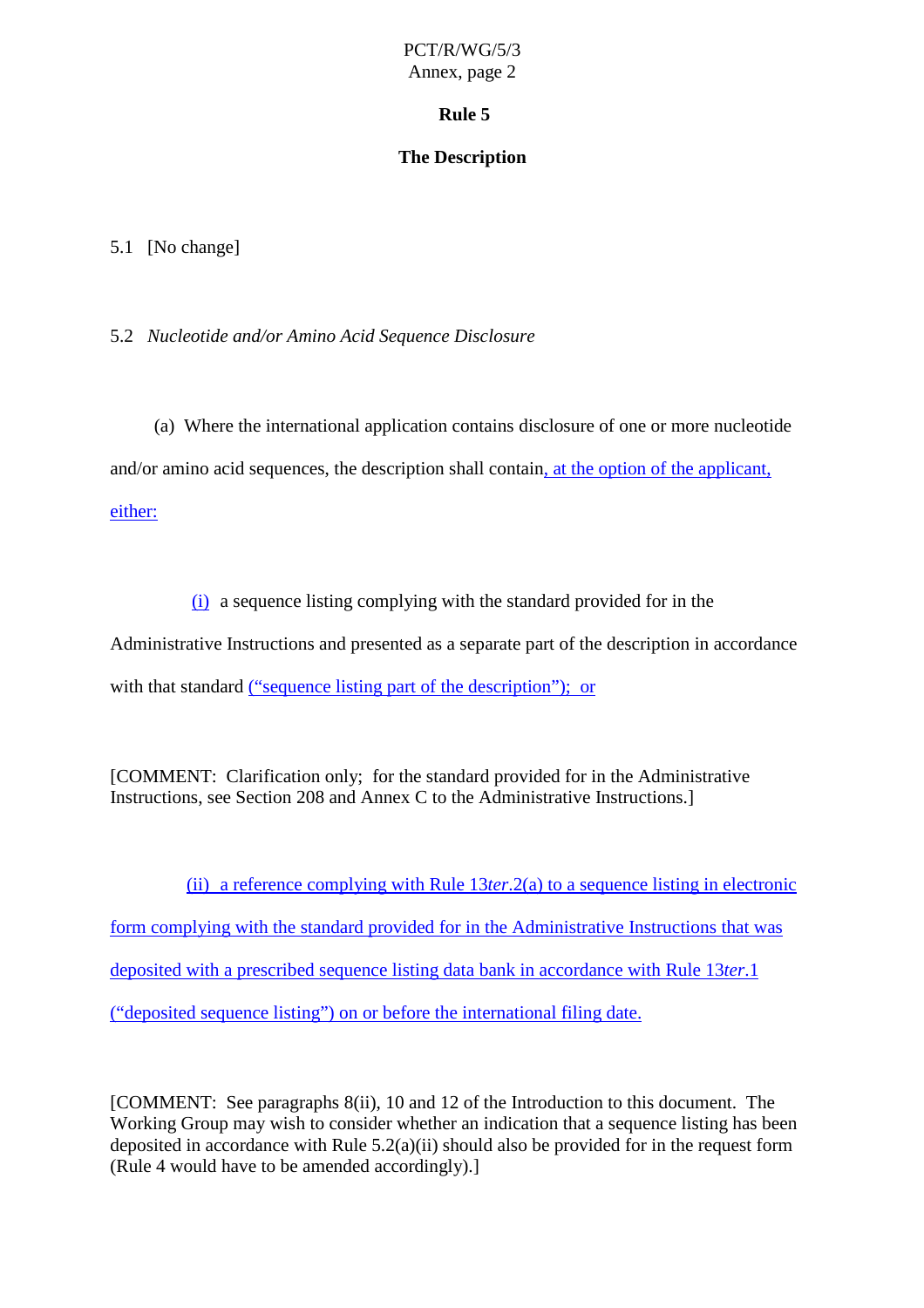#### **Rule 5**

#### **The Description**

#### <span id="page-6-0"></span>5.1 [Nochange]

5.2 *Nucleotide and/or Amino Acid Sequence Disclosure*

(a) Where the international application contains disclosure of one or more nucleotide and/oraminoacid sequences, the description shall contain , at the option of the applicant, either:

 $(i)$  asequence listing complying with the standard provided for in the

Administrative Instructions and presented as a separate part of the description in accordance

with that standard ("sequence listing part of the description"); or

[COMMENT: Clarification only; for the standard provided for in the Administrative Instructions, see Section 208 and Annex C to the Administrative Instructions.]

(ii) a reference complying with Rule 13 *ter*. 2(a) to a sequence listing in electronic form complying with the standard provided for in the Administrative Inst ructions that was deposited with a prescribed sequence listing data bank in accordance with Rule 13 *ter*.1 ("deposited sequence listing") on or before the international filing date.

[COMMENT: See paragraphs [8\(ii\)](#page-2-0), [10](#page-2-0) and [12](#page-3-0) of the Introduction to this document. The Working Group may wish to consider whether an indication that a sequence listing has been deposited in accordance with Rule 5.2(a)(ii) should also be provided for in the request form (Rule  $4$  would have to be amended accordingly).]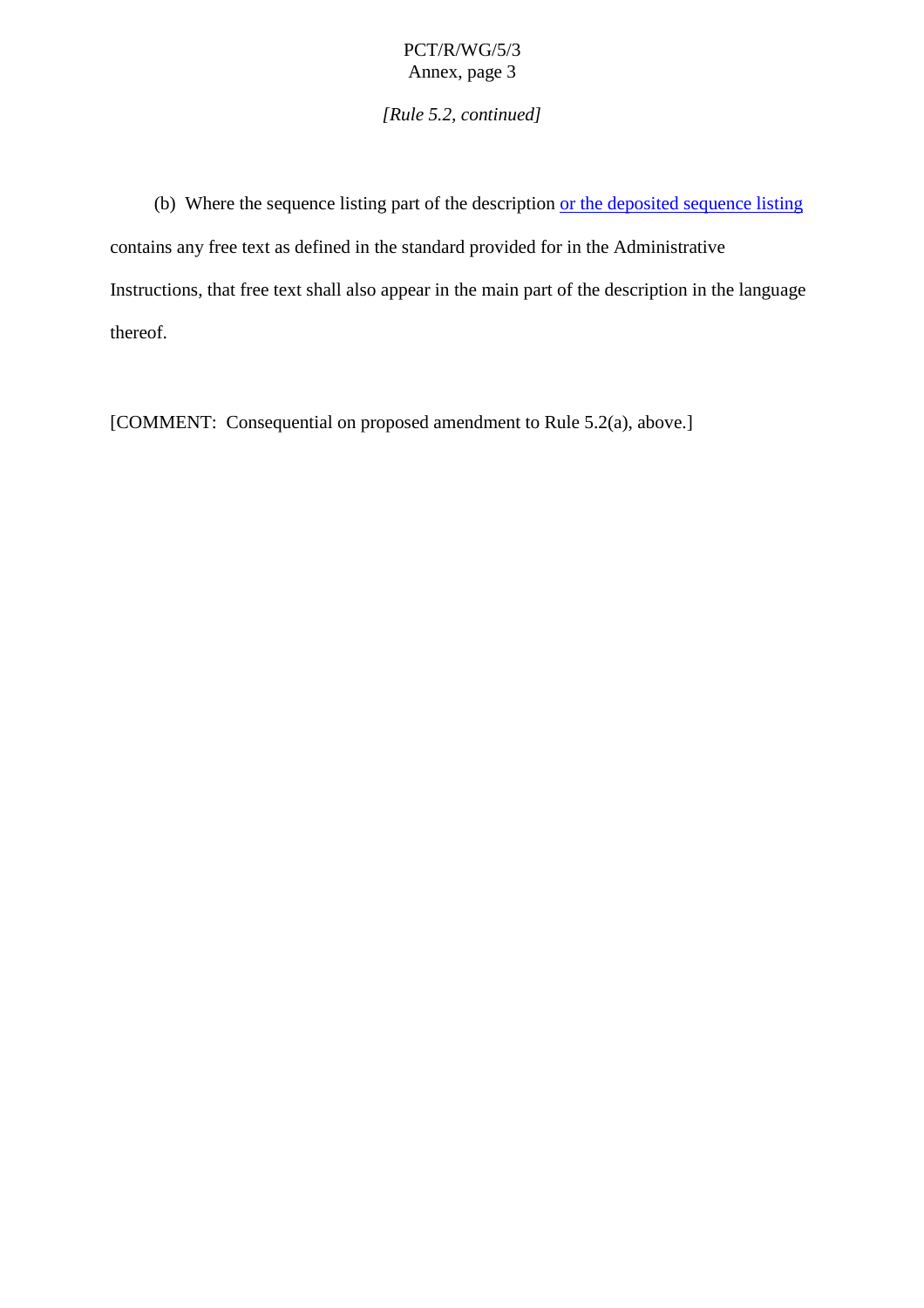*[Rule 5.2, continued]*

(b) Where the sequence listing part of the description or the deposited sequence listing contains any free text as defined in the standard provided for in the Administrative Instructions, that free textshall also appear in the main part of the description in the language thereof.

[COMMENT:Consequential on proposed amendment to Rule 5.2(a), above.]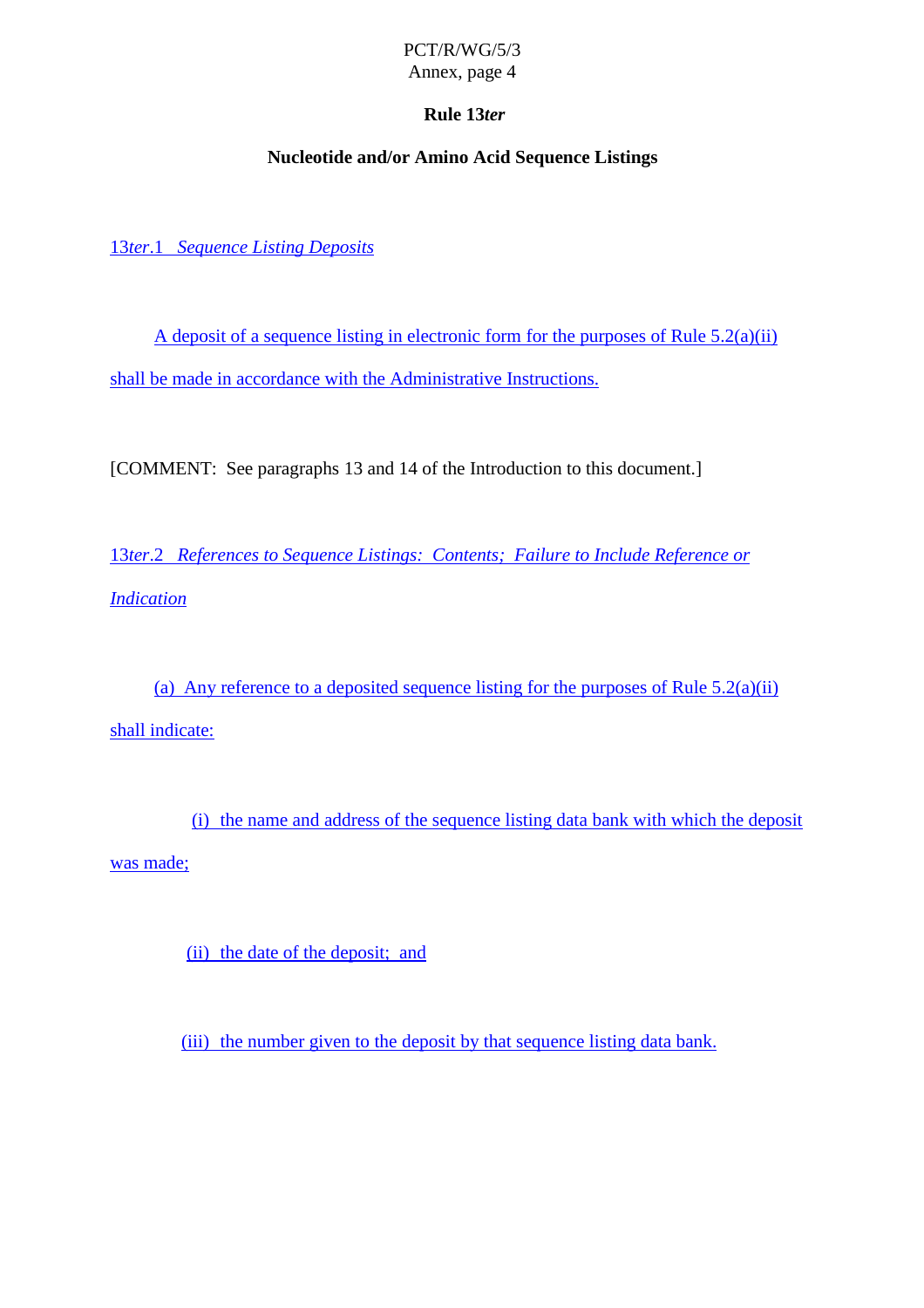# **Rule 13** *ter*

# **Nucleotide and/or Amino Acid Sequence Listings**

<span id="page-8-0"></span>13*ter*.1 *Sequence Listing Deposits*

 $Adepositof a sequence listing in electronic form for the purpose of Rule 5.2(a)(ii)$ shall be made in accordance with the Administrative Instructions.

[COMMENT: See paragrap hs [13](#page-3-0) and [14](#page-4-0) of the Introduction to this document.]

13*ter*.2 *ReferencestoSequenceListings:Contents;FailuretoIncludeReferenceor Indication*

(a) Any reference to a deposited sequence listing for the purposes of Rule  $5.2(a)(ii)$ shallindicate:

(i) the name and address of the sequence listing data bank with which the deposit was made;

(ii) the date of the deposit; and

(iii) the number given to the deposity that sequence listing data bank.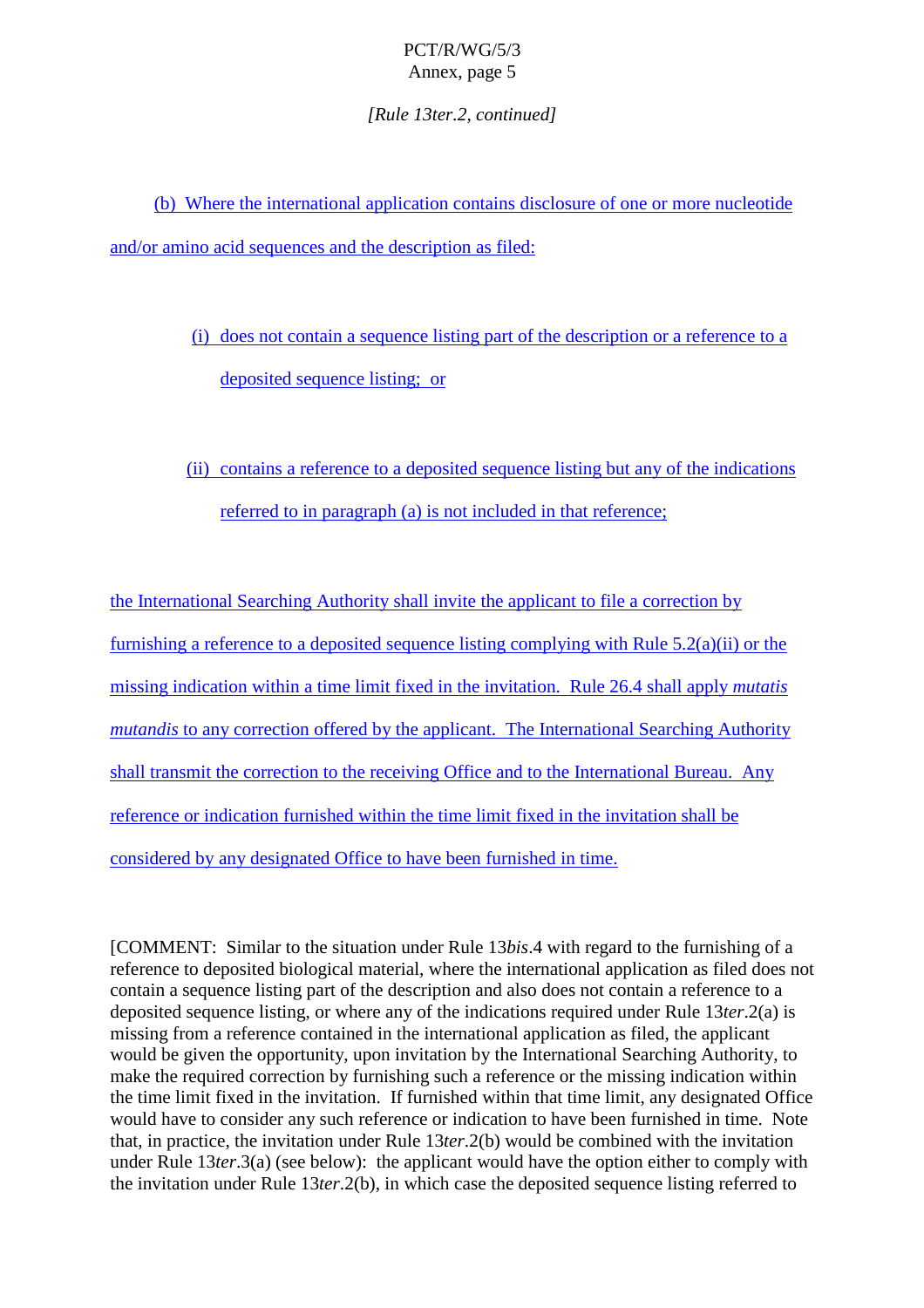*[Rule 13ter.2, continued]*

(b) Where the international application contains disclosure of one or more nucleotide and/oraminoacidsequences and the description as filed:

> (i) does not contain a sequence listing part of the description or a reference to a deposited sequence listing; or

> (ii) contains a reference to a deposited sequence listing but any of the indications referred to inparagraph (a) is not included in that reference;

the International Searching Authority s hall invite the applicant to file a correction by furnishing a reference to a deposite dsequence listing complying with Rule  $5.2(a)(ii)$  or the missing indication within a time limit fixed in the invitation. Rule 26.4 shall apply *mutatis mutandistoanyco* rrection of fered by the applicant. The International Searching Authority shall transmit the correction to the receiving Office and to the International Bureau. Any reference or indication furnished within the time limit fixed in the invitation shall be considered by any designated Office to have been furnished in time.

[COMMENT: Similar to the situation under Rule 13*bis*.4 with regard to the furnishing of a reference to deposited biological material, where the international application as filed does not containas equence listing part of the description and also does not contain a reference to a deposited sequence listing, or where any of the indications required under Rule 13*ter*. 2(a) is missing from a reference contained in the international application a sfiled, the applicant would be given the opportunity, upon invitation by the International Searching Authority, to make the required correction by furnishing such a reference or the missing indication within the time limit fixed in the invitation. If fur nished within that time limit, any designated Office would have to consider any such reference or indication to have been furnished in time. Note that, in practice, the invitation under Rule 13*ter*. 2(b) would be combined with the invitation under Rule 13 *ter*.3(a) (see below): the applicant would have the option either to comply with the invitation under Rule 13*ter*.2(b), in which case the deposited sequence listing referred to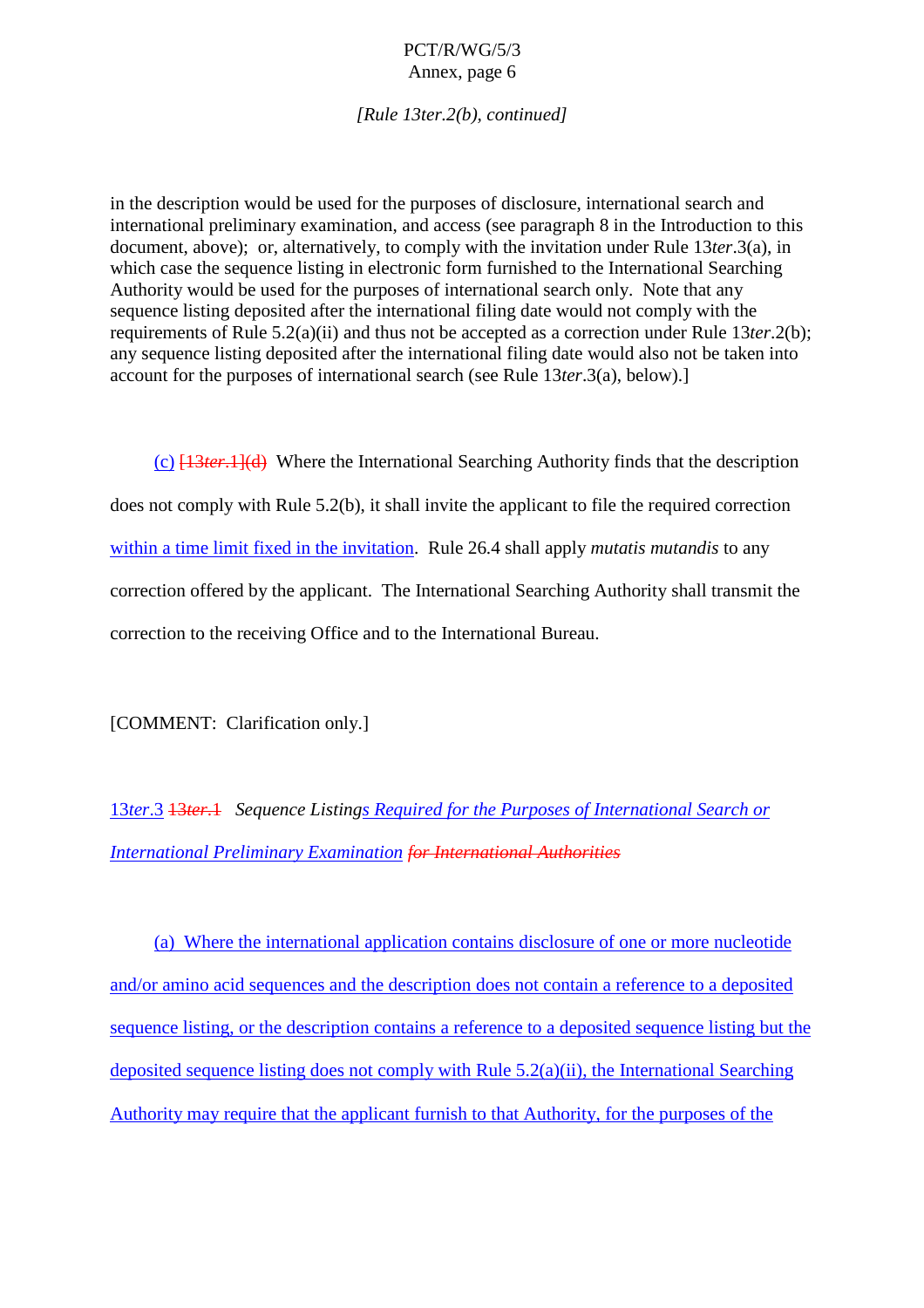*[Rule 13ter.2(b), continued]*

<span id="page-10-0"></span>in the description would be used for the purposes of disclosure, international search and international preliminary examination, and access (see paragraph [8](#page-2-0) in the Introduction to this document, above); or, alternatively, to comply with the invitation under Rule 13*ter*.3(a), in which case the sequence listing in electronic form furnished to the International Searching Authority would be used for the purposes of international search only. Note that any sequence listing deposited after the international filing date would not comply with the requirements of Rule 5.2(a)(ii) and thus not be accepted as a correction under Rule 13*ter*.2(b); any sequence listing deposited after the international filing date would also not be taken into account for the purposes of international search (see Rule 13*ter*.3(a), below).]

(c) [13*ter*.1](d) Where the International Searching Authority finds that the description does not comply with Rule 5.2(b), it shall invite the applicant to file the required correction within a time limit fixed in the invitation . Rule 26.4 shall apply *mutatismutandis* to any correction of fered by the applicant. The International Searching Authority shall transmit the correction to the receiving Office and to the International Bureau.

[COMMENT: Clarification onl y.]

13*ter*.3 13*ter*.1 *Sequence Listing s Required for the Purposes of International Search or International Preliminary Examination for International Authorities*

(a) Where the international application contains disclosure of one or more nucleotide and/or amino acid sequences and the description does not contain a reference to a deposited sequence listing, orthe description contains are ference to a deposited sequence listing but the deposited sequence listing does not comply with Rule  $5.2(a)(ii)$ , the Integrational Searching Authority may require that the applicant furnish to that Authority, for the purposes of the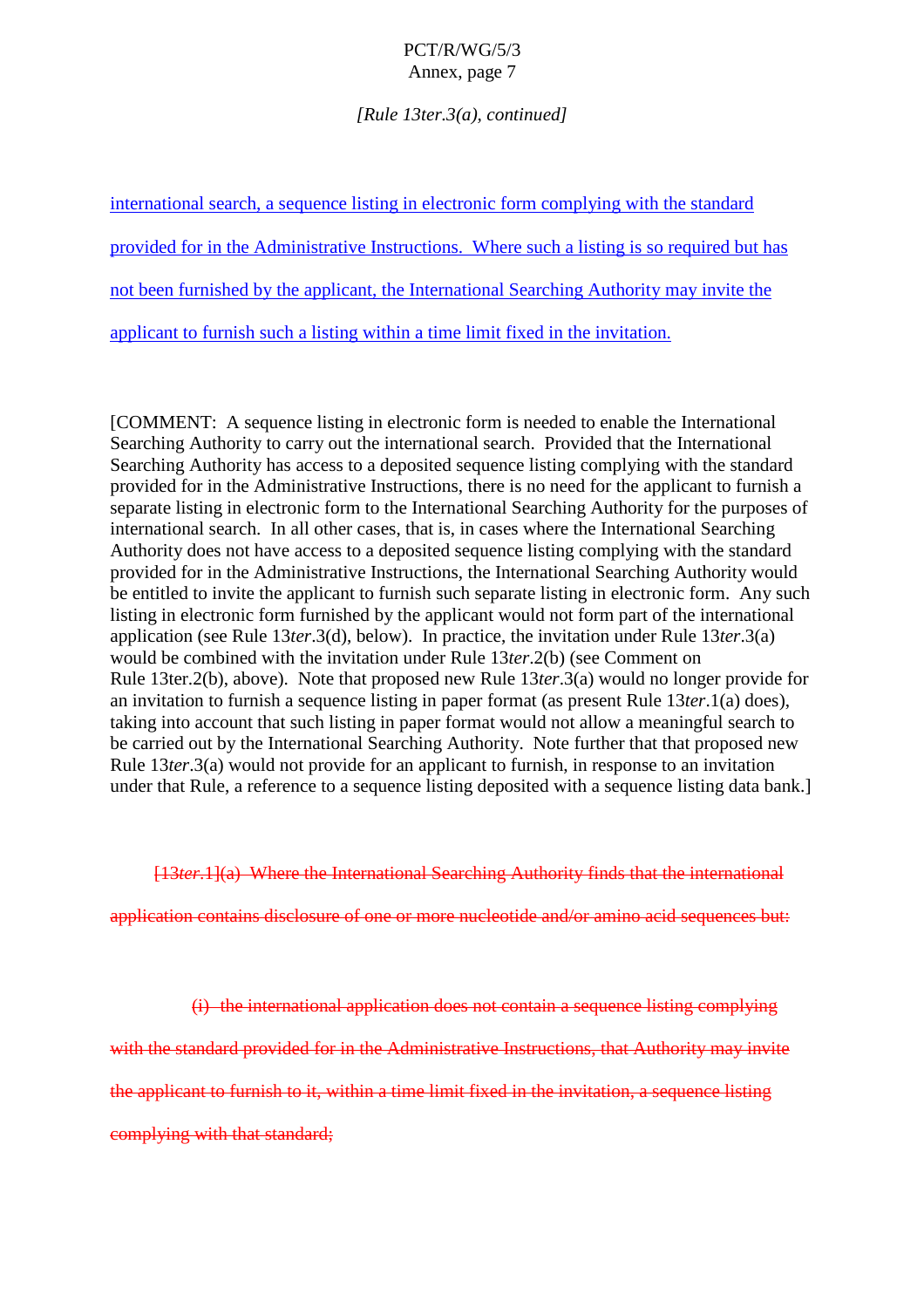*[Rule 13ter.3(a), continued]*

| internationalsearch, as equence listing inelectronic form complying with the standard |
|---------------------------------------------------------------------------------------|
| providedforintheAdmini strativeInstructions.Wheresuchalistingissorequiredbuthas       |
| notbeenfurnishedbytheapplicant,theInternationalSearchingAuthoritymayinvitethe         |
| applicant to furnish such alisting within a time limit fixed in the invitation.       |

[COMMENT:A sequ encelisting inelectronic form is needed to enable the International Searching Authority to carry out the international search. Provided that the International Searching Authority has access to a deposited sequence listing complying with the standard provided for in the Administrative Instructions, the reisponeed for the applicant to furnish a separatelisting in electronic form to the International Searching Authority for the purposes of international search. In all other cases, that is, in cases wher ethe International Searching Authority does not have access to a deposited sequence listing complying with the standard provided for in the Administrative Instructions, the International Searching Authority would be entitled to invite the applicant to fur nish such separate listing in electronic form. Any such listing inelectronic form furnished by the applicant would not form part of the international application (see Rule 13 *ter*.3(d), below). Inpractice, the invitation under Rule 13 *ter*.3(a) would be combined with the invitation under Rule 13*ter*. 2(b) (see Commenton Rule 13ter.2(b), above). Note that proposed new Rule 13*ter*.3(a) would no longer provide for an invitation to furnish a sequence listing in paper format (as present Rule 13*ter*.1(a) does), taking into account that such listing in paper format would not allow a meaningful search to be carried out by the International Searching Authority. Note further that that proposed new Rule 13*ter*.3(a) would not provide for an applicant to furnish, in respon seto an invitation under that Rule, areference to a sequence listing deposited with a sequence listing data bank.]

[13*ter*.1](a) Where the International Searching Authority finds that the international

application contains disclosure of one or more nucl eotide and/or amino acid sequences but:

(i) the international application does not contain a sequence listing complying

with the standard provided for in the Administrative Instructions, that Authority may invite

the applicant to furnish to it, within a t ime limit fixed in the invitation, a sequence listing

complying with that standard;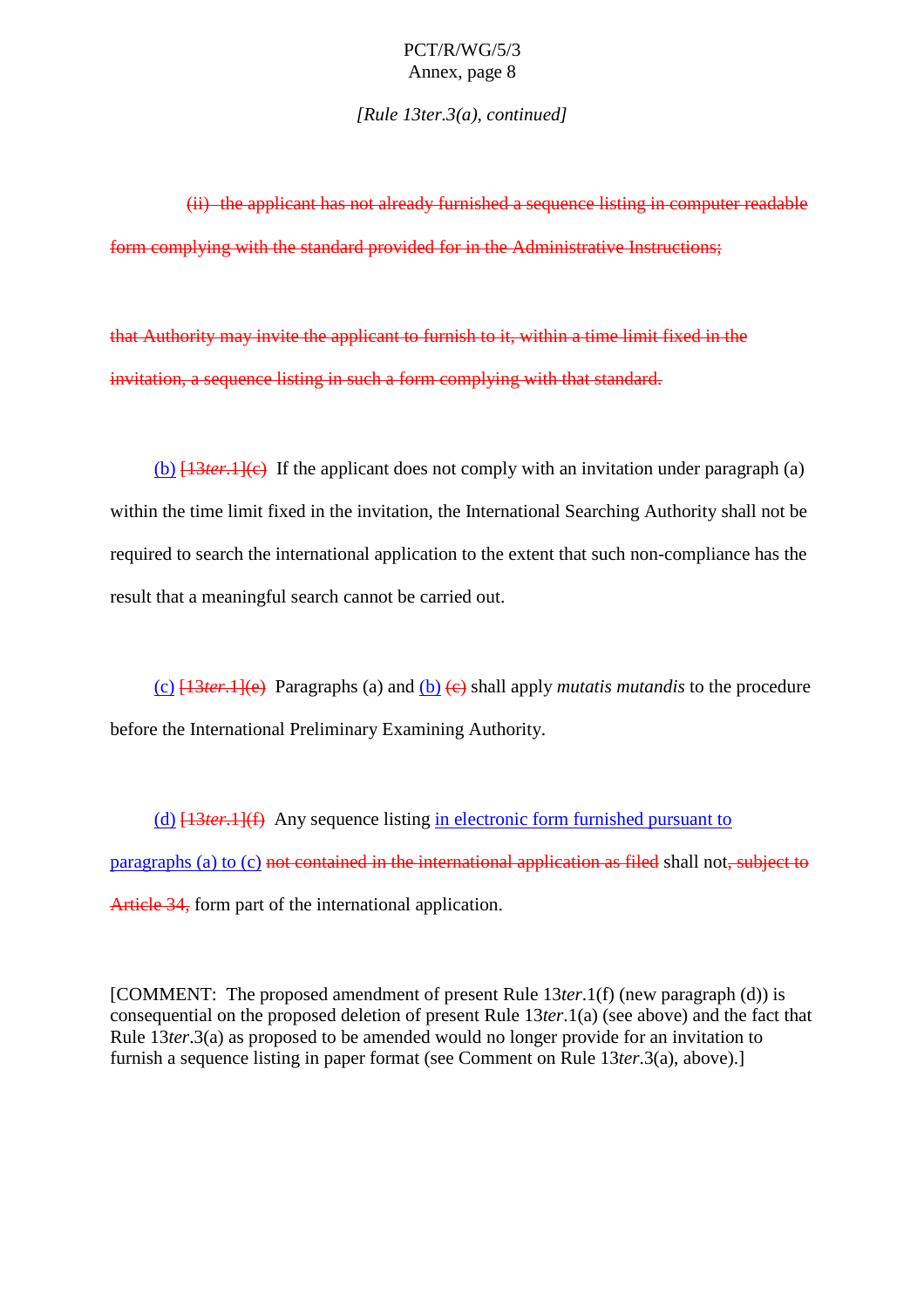*[Rule 13ter.3(a), continued]*

 $(i)$  the applicant has not already furnished as equation that in computer readable form complying with the standard provided for inthe Admi mistrative Instructions;

that Authority may invite the applicant to furnish to it, within a time limit fixed in the invitation, a sequence listing in such a form complying with that standard.

(b)  $[13 \text{ ter.1}]$ (c) If the applicant does not comply with an invited tation under paragraph (a) within the time limit fixed in the invitation, the International Searching Authority shall not be required to search the international application to the extent that such non  $\qquad$  -compliance has the result that a meaningful search can not be carried out.

(c)  $\frac{13}{13}$  Paragraphs(a) and (b)  $\left(\frac{e}{e}\right)$  shall apply *mutatis mutandis* to the procedure before the International Preliminary Examining Authority.

(d)  $[13 \text{ ter.1}](f)$  Any sequence listing inelectronic form furnished pursuant to  $pararaphs (a) to (c) *not contained in the interactional and biecti-* shall not *subiectio-*$ Article 34, form part of the international application.

[COMMENT: The proposed amendment of present Rule 13 *ter*.1(f) (new paragraph (d)) is consequential on the proposed deletion of present Rule 13*ter*.1(a) (see above) and the fact that Rule 13*ter*.3(a) as proposed to be amended would no longer provide for an invitation to furnishas equence listing in paper format (see Comment on Rule 13*ter*.3(a), above).]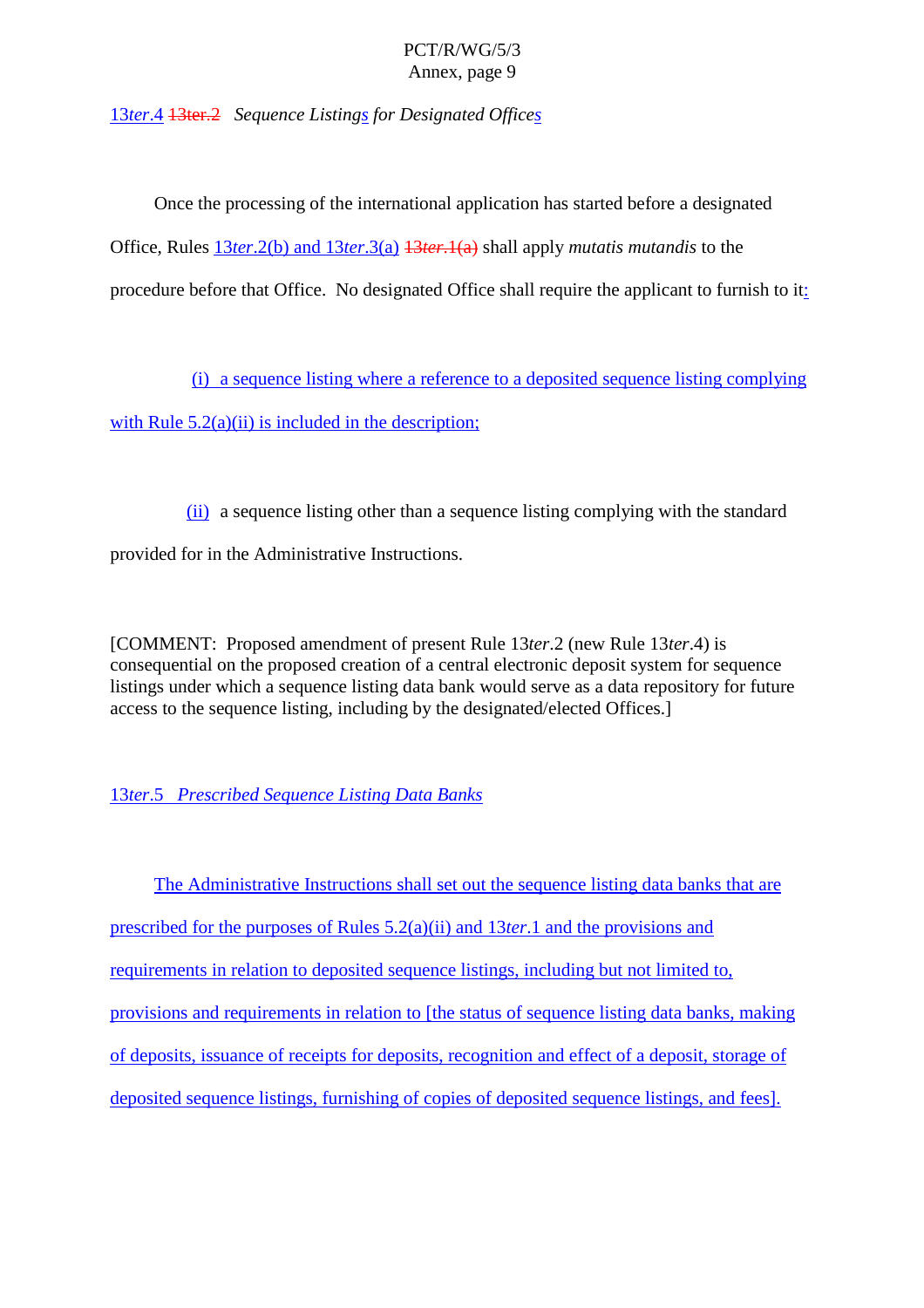<span id="page-13-0"></span>13*ter*.4 13ter.2 *Sequence Listing s for Designated Office s*

Once the processing of the international application has started before a designated Office, Rules 13*ter*.2(b) and 13 *ter*.3(a) 13*ter*.1(a) shall apply *mutatis mutandis* to the procedure before that Office. No designated Offices hall require the applicant to furnish to it is

(i) a sequence listing where a reference to a deposite dsequence listing complying with Rule  $5.2(a)(ii)$  i sincluded in the description;

(ii) a sequence listing other than a sequence listing complying with the standard provided for in the Administrative Instructions.

[COMMENT: Proposed amendment of present Rule 13 *ter*.2 (new Rule 13 *ter*.4) is consequential on the proposed creation of a central electronic deposits ystem for sequence listings under which a sequence listing data bank would serve as a data repository for future access to the sequence listing, including by the designated/elected Offices.

#### 13*ter*.5 *Prescribed Sequence Listing Data Banks*

The Administrative Instructions shall set out the sequence listing data banks that are prescribed for the purposes of Rules 5.2(a)(ii) and 13 *ter*.1 and the provisions and requirements in relation to deposited sequence listings, including but not limited to, provisions and requirements in relation to [ the status of sequence listing data banks, making of deposits, issuance of receipts for deposits, recognition and effect of a deposit, storage of deposited sequence listings, furnishing of copies of deposited sequence listings, and fees].